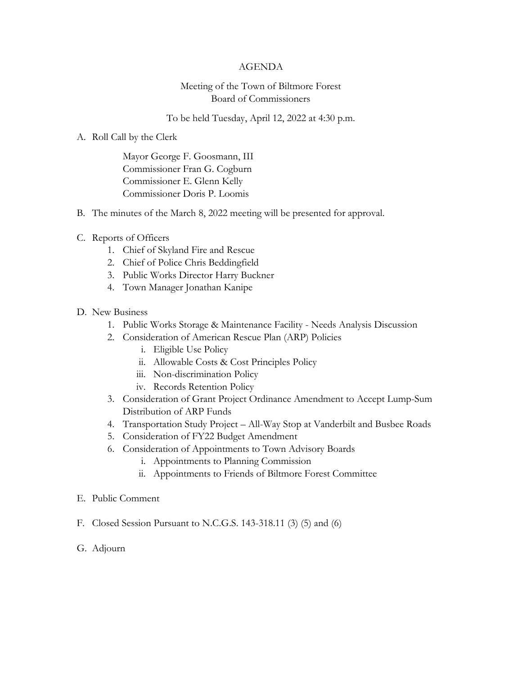## AGENDA

## Meeting of the Town of Biltmore Forest Board of Commissioners

To be held Tuesday, April 12, 2022 at 4:30 p.m.

## A. Roll Call by the Clerk

Mayor George F. Goosmann, III Commissioner Fran G. Cogburn Commissioner E. Glenn Kelly Commissioner Doris P. Loomis

- B. The minutes of the March 8, 2022 meeting will be presented for approval.
- C. Reports of Officers
	- 1. Chief of Skyland Fire and Rescue
	- 2. Chief of Police Chris Beddingfield
	- 3. Public Works Director Harry Buckner
	- 4. Town Manager Jonathan Kanipe
- D. New Business
	- 1. Public Works Storage & Maintenance Facility Needs Analysis Discussion
	- 2. Consideration of American Rescue Plan (ARP) Policies
		- i. Eligible Use Policy
		- ii. Allowable Costs & Cost Principles Policy
		- iii. Non-discrimination Policy
		- iv. Records Retention Policy
	- 3. Consideration of Grant Project Ordinance Amendment to Accept Lump-Sum Distribution of ARP Funds
	- 4. Transportation Study Project All-Way Stop at Vanderbilt and Busbee Roads
	- 5. Consideration of FY22 Budget Amendment
	- 6. Consideration of Appointments to Town Advisory Boards
		- i. Appointments to Planning Commission
		- ii. Appointments to Friends of Biltmore Forest Committee
- E. Public Comment
- F. Closed Session Pursuant to N.C.G.S. 143-318.11 (3) (5) and (6)
- G. Adjourn